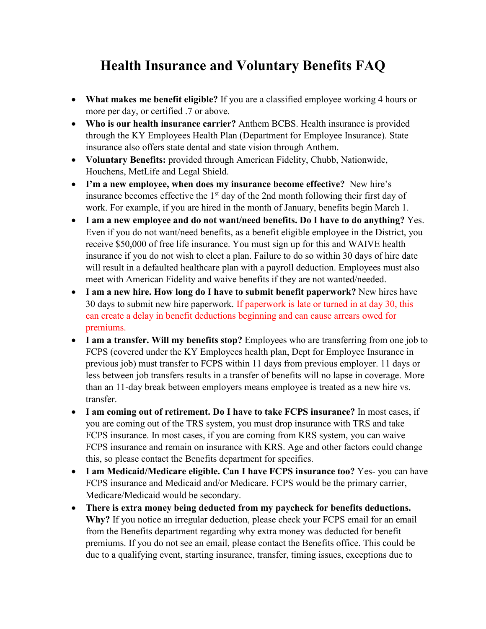## **Health Insurance and Voluntary Benefits FAQ**

- **What makes me benefit eligible?** If you are a classified employee working 4 hours or more per day, or certified .7 or above.
- **Who is our health insurance carrier?** Anthem BCBS. Health insurance is provided through the KY Employees Health Plan (Department for Employee Insurance). State insurance also offers state dental and state vision through Anthem.
- **Voluntary Benefits:** provided through American Fidelity, Chubb, Nationwide, Houchens, MetLife and Legal Shield.
- **I'm a new employee, when does my insurance become effective?** New hire's insurance becomes effective the  $1<sup>st</sup>$  day of the 2nd month following their first day of work. For example, if you are hired in the month of January, benefits begin March 1.
- **I am a new employee and do not want/need benefits. Do I have to do anything?** Yes. Even if you do not want/need benefits, as a benefit eligible employee in the District, you receive \$50,000 of free life insurance. You must sign up for this and WAIVE health insurance if you do not wish to elect a plan. Failure to do so within 30 days of hire date will result in a defaulted healthcare plan with a payroll deduction. Employees must also meet with American Fidelity and waive benefits if they are not wanted/needed.
- **I am a new hire. How long do I have to submit benefit paperwork?** New hires have 30 days to submit new hire paperwork. If paperwork is late or turned in at day 30, this can create a delay in benefit deductions beginning and can cause arrears owed for premiums.
- I am a transfer. Will my benefits stop? Employees who are transferring from one job to FCPS (covered under the KY Employees health plan, Dept for Employee Insurance in previous job) must transfer to FCPS within 11 days from previous employer. 11 days or less between job transfers results in a transfer of benefits will no lapse in coverage. More than an 11-day break between employers means employee is treated as a new hire vs. transfer.
- **I am coming out of retirement. Do I have to take FCPS insurance?** In most cases, if you are coming out of the TRS system, you must drop insurance with TRS and take FCPS insurance. In most cases, if you are coming from KRS system, you can waive FCPS insurance and remain on insurance with KRS. Age and other factors could change this, so please contact the Benefits department for specifics.
- **I am Medicaid/Medicare eligible. Can I have FCPS insurance too?** Yes- you can have FCPS insurance and Medicaid and/or Medicare. FCPS would be the primary carrier, Medicare/Medicaid would be secondary.
- **There is extra money being deducted from my paycheck for benefits deductions. Why?** If you notice an irregular deduction, please check your FCPS email for an email from the Benefits department regarding why extra money was deducted for benefit premiums. If you do not see an email, please contact the Benefits office. This could be due to a qualifying event, starting insurance, transfer, timing issues, exceptions due to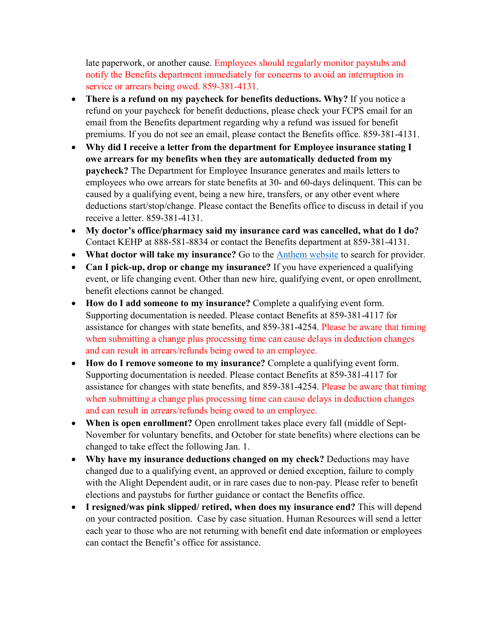late paperwork, or another cause. Employees should regularly monitor paystubs and notify the Benefits department immediately for concerns to avoid an interruption in service or arrears being owed. 859-381-4131.

- **There is a refund on my paycheck for benefits deductions. Why?** If you notice a refund on your paycheck for benefit deductions, please check your FCPS email for an email from the Benefits department regarding why a refund was issued for benefit premiums. If you do not see an email, please contact the Benefits office. 859-381-4131.
- **Why did I receive a letter from the department for Employee insurance stating I owe arrears for my benefits when they are automatically deducted from my paycheck?** The Department for Employee Insurance generates and mails letters to employees who owe arrears for state benefits at 30- and 60-days delinquent. This can be caused by a qualifying event, being a new hire, transfers, or any other event where deductions start/stop/change. Please contact the Benefits office to discuss in detail if you receive a letter. 859-381-4131.
- **My doctor's office/pharmacy said my insurance card was cancelled, what do I do?** Contact KEHP at 888-581-8834 or contact the Benefits department at 859-381-4131.
- **What doctor will take my insurance?** Go to the [Anthem website](http://www.anthem.com/) to search for provider.
- **Can I pick-up, drop or change my insurance?** If you have experienced a qualifying event, or life changing event. Other than new hire, qualifying event, or open enrollment, benefit elections cannot be changed.
- **How do I add someone to my insurance?** Complete a qualifying event form. Supporting documentation is needed. Please contact Benefits at 859-381-4117 for assistance for changes with state benefits, and 859-381-4254. Please be aware that timing when submitting a change plus processing time can cause delays in deduction changes and can result in arrears/refunds being owed to an employee.
- **How do I remove someone to my insurance?** Complete a qualifying event form. Supporting documentation is needed. Please contact Benefits at 859-381-4117 for assistance for changes with state benefits, and 859-381-4254. Please be aware that timing when submitting a change plus processing time can cause delays in deduction changes and can result in arrears/refunds being owed to an employee.
- **When is open enrollment?** Open enrollment takes place every fall (middle of Sept-November for voluntary benefits, and October for state benefits) where elections can be changed to take effect the following Jan. 1.
- **Why have my insurance deductions changed on my check?** Deductions may have changed due to a qualifying event, an approved or denied exception, failure to comply with the Alight Dependent audit, or in rare cases due to non-pay. Please refer to benefit elections and paystubs for further guidance or contact the Benefits office.
- **I resigned/was pink slipped/ retired, when does my insurance end?** This will depend on your contracted position. Case by case situation. Human Resources will send a letter each year to those who are not returning with benefit end date information or employees can contact the Benefit's office for assistance.